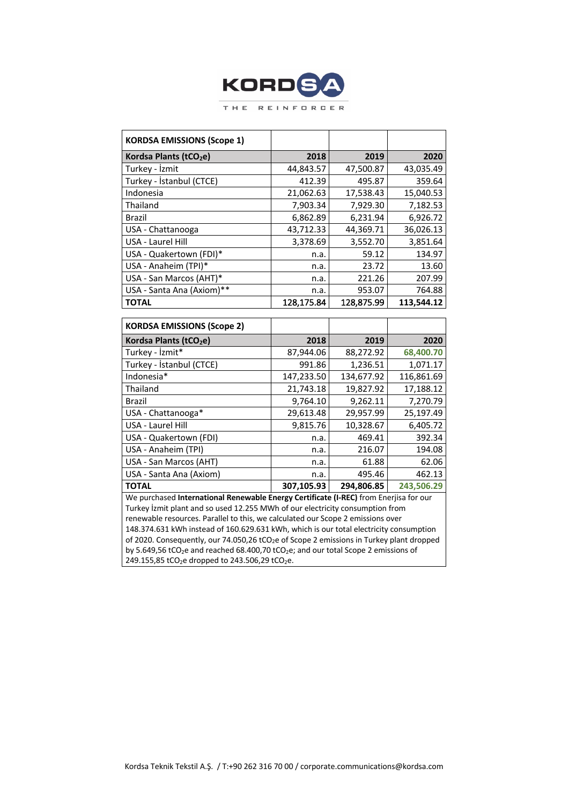

| <b>KORDSA EMISSIONS (Scope 1)</b>  |            |            |            |
|------------------------------------|------------|------------|------------|
| Kordsa Plants (tCO <sub>2</sub> e) | 2018       | 2019       | 2020       |
| Turkey - İzmit                     | 44,843.57  | 47,500.87  | 43,035.49  |
| Turkey - İstanbul (CTCE)           | 412.39     | 495.87     | 359.64     |
| Indonesia                          | 21,062.63  | 17,538.43  | 15,040.53  |
| Thailand                           | 7,903.34   | 7,929.30   | 7,182.53   |
| <b>Brazil</b>                      | 6,862.89   | 6,231.94   | 6,926.72   |
| USA - Chattanooga                  | 43,712.33  | 44,369.71  | 36,026.13  |
| USA - Laurel Hill                  | 3,378.69   | 3,552.70   | 3,851.64   |
| USA - Quakertown (FDI)*            | n.a.       | 59.12      | 134.97     |
| USA - Anaheim (TPI)*               | n.a.       | 23.72      | 13.60      |
| USA - San Marcos (AHT)*            | n.a.       | 221.26     | 207.99     |
| USA - Santa Ana (Axiom)**          | n.a.       | 953.07     | 764.88     |
| <b>TOTAL</b>                       | 128,175.84 | 128,875.99 | 113,544.12 |

| <b>KORDSA EMISSIONS (Scope 2)</b>                                                                    |            |            |            |  |
|------------------------------------------------------------------------------------------------------|------------|------------|------------|--|
| Kordsa Plants (tCO <sub>2</sub> e)                                                                   | 2018       | 2019       | 2020       |  |
| Turkey - İzmit*                                                                                      | 87,944.06  | 88,272.92  | 68,400.70  |  |
| Turkey - İstanbul (CTCE)                                                                             | 991.86     | 1,236.51   | 1,071.17   |  |
| Indonesia*                                                                                           | 147,233.50 | 134,677.92 | 116,861.69 |  |
| Thailand                                                                                             | 21,743.18  | 19,827.92  | 17,188.12  |  |
| Brazil                                                                                               | 9,764.10   | 9,262.11   | 7,270.79   |  |
| USA - Chattanooga*                                                                                   | 29,613.48  | 29,957.99  | 25,197.49  |  |
| USA - Laurel Hill                                                                                    | 9,815.76   | 10,328.67  | 6,405.72   |  |
| USA - Quakertown (FDI)                                                                               | n.a.       | 469.41     | 392.34     |  |
| USA - Anaheim (TPI)                                                                                  | n.a.       | 216.07     | 194.08     |  |
| USA - San Marcos (AHT)                                                                               | n.a.       | 61.88      | 62.06      |  |
| USA - Santa Ana (Axiom)                                                                              | n.a.       | 495.46     | 462.13     |  |
| <b>TOTAL</b>                                                                                         | 307,105.93 | 294,806.85 | 243,506.29 |  |
| We purchased International Renewable Energy Certificate (I-REC) from Enerjisa for our                |            |            |            |  |
| Turkey lzmit plant and so used 12.255 MWh of our electricity consumption from                        |            |            |            |  |
| renewable resources. Parallel to this, we calculated our Scope 2 emissions over                      |            |            |            |  |
| 148.374.631 kWh instead of 160.629.631 kWh, which is our total electricity consumption               |            |            |            |  |
| of 2020. Consequently, our 74.050,26 tCO <sub>2</sub> e of Scope 2 emissions in Turkey plant dropped |            |            |            |  |

by 5.649,56 tCO<sub>2</sub>e and reached 68.400,70 tCO<sub>2</sub>e; and our total Scope 2 emissions of 249.155,85 tCO<sub>2</sub>e dropped to 243.506,29 tCO<sub>2</sub>e.